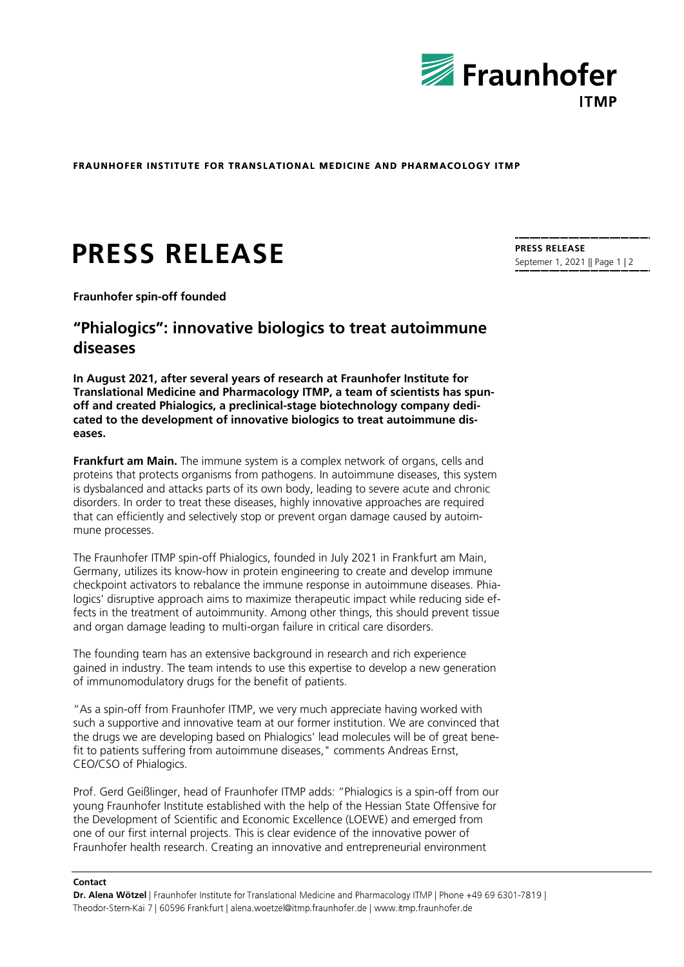

**FRAUNHOFER INSTITUTE FOR TRANSLATIONAL MEDICINE AND PHARMACOLOGY ITMP** 

# **PRESS RELEASE**

**Fraunhofer spin-off founded**

# **"Phialogics": innovative biologics to treat autoimmune diseases**

**In August 2021, after several years of research at Fraunhofer Institute for Translational Medicine and Pharmacology ITMP, a team of scientists has spunoff and created Phialogics, a preclinical-stage biotechnology company dedicated to the development of innovative biologics to treat autoimmune diseases.**

**Frankfurt am Main.** The immune system is a complex network of organs, cells and proteins that protects organisms from pathogens. In autoimmune diseases, this system is dysbalanced and attacks parts of its own body, leading to severe acute and chronic disorders. In order to treat these diseases, highly innovative approaches are required that can efficiently and selectively stop or prevent organ damage caused by autoimmune processes.

The Fraunhofer ITMP spin-off Phialogics, founded in July 2021 in Frankfurt am Main, Germany, utilizes its know-how in protein engineering to create and develop immune checkpoint activators to rebalance the immune response in autoimmune diseases. Phialogics' disruptive approach aims to maximize therapeutic impact while reducing side effects in the treatment of autoimmunity. Among other things, this should prevent tissue and organ damage leading to multi-organ failure in critical care disorders.

The founding team has an extensive background in research and rich experience gained in industry. The team intends to use this expertise to develop a new generation of immunomodulatory drugs for the benefit of patients.

"As a spin-off from Fraunhofer ITMP, we very much appreciate having worked with such a supportive and innovative team at our former institution. We are convinced that the drugs we are developing based on Phialogics' lead molecules will be of great benefit to patients suffering from autoimmune diseases," comments Andreas Ernst, CEO/CSO of Phialogics.

Prof. Gerd Geißlinger, head of Fraunhofer ITMP adds: "Phialogics is a spin-off from our young Fraunhofer Institute established with the help of the Hessian State Offensive for the Development of Scientific and Economic Excellence (LOEWE) and emerged from one of our first internal projects. This is clear evidence of the innovative power of Fraunhofer health research. Creating an innovative and entrepreneurial environment

#### **Contact**

**Dr. Alena Wötzel** Theodor-Stern-Kai 7 | 60596 Frankfurt | alena.woetzel@itmp.fraunhofer.de | www.itmp.fraunhofer.de

**PRESS RELEASE** Septemer 1, 2021 || Page 1 | 2